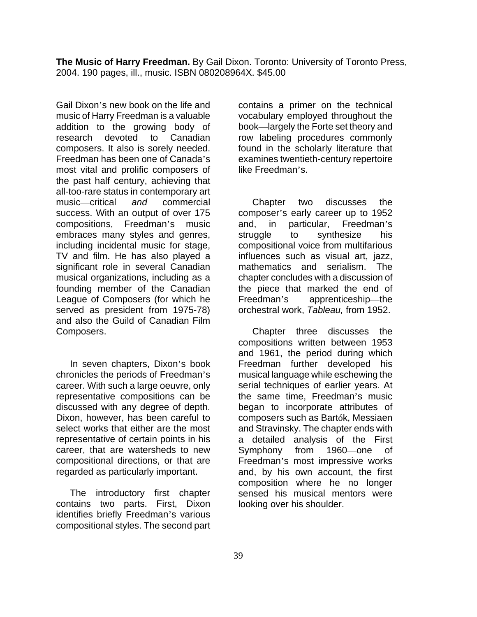**The Music of Harry Freedman.** By Gail Dixon. Toronto: University of Toronto Press, 2004. 190 pages, ill., music. ISBN 080208964X. \$45.00

Gail Dixon's new book on the life and music of Harry Freedman is a valuable addition to the growing body of research devoted to Canadian composers. It also is sorely needed. Freedman has been one of Canada's most vital and prolific composers of the past half century, achieving that all-too-rare status in contemporary art music—critical *and* commercial success. With an output of over 175 compositions, Freedman's music embraces many styles and genres, including incidental music for stage, TV and film. He has also played a significant role in several Canadian musical organizations, including as a founding member of the Canadian League of Composers (for which he served as president from 1975-78) and also the Guild of Canadian Film Composers.

In seven chapters, Dixon's book chronicles the periods of Freedman's career. With such a large oeuvre, only representative compositions can be discussed with any degree of depth. Dixon, however, has been careful to select works that either are the most representative of certain points in his career, that are watersheds to new compositional directions, or that are regarded as particularly important.

The introductory first chapter contains two parts. First, Dixon identifies briefly Freedman's various compositional styles. The second part contains a primer on the technical vocabulary employed throughout the book—largely the Forte set theory and row labeling procedures commonly found in the scholarly literature that examines twentieth-century repertoire like Freedman's.

Chapter two discusses the composer's early career up to 1952 and, in particular, Freedman's struggle to synthesize his compositional voice from multifarious influences such as visual art, jazz, mathematics and serialism. The chapter concludes with a discussion of the piece that marked the end of Freedman's apprenticeship—the orchestral work, *Tableau,* from 1952.

Chapter three discusses the compositions written between 1953 and 1961, the period during which Freedman further developed his musical language while eschewing the serial techniques of earlier years. At the same time, Freedman's music began to incorporate attributes of composers such as Bartók, Messiaen and Stravinsky. The chapter ends with a detailed analysis of the First Symphony from 1960—one of Freedman's most impressive works and, by his own account, the first composition where he no longer sensed his musical mentors were looking over his shoulder.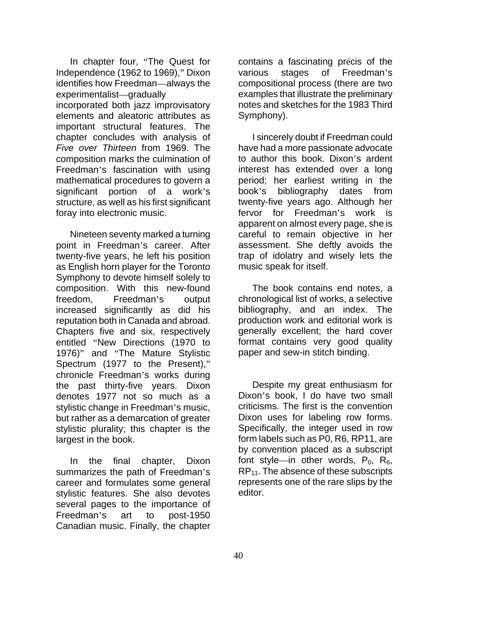In chapter four, "The Quest for Independence (1962 to 1969)," Dixon identifies how Freedman—always the experimentalist—gradually incorporated both jazz improvisatory elements and aleatoric attributes as important structural features. The chapter concludes with analysis of *Five over Thirteen* from 1969. The composition marks the culmination of Freedman's fascination with using mathematical procedures to govern a significant portion of a work's structure, as well as his first significant foray into electronic music.

Nineteen seventy marked a turning point in Freedman's career. After twenty-five years, he left his position as English horn player for the Toronto Symphony to devote himself solely to composition. With this new-found freedom, Freedman's output increased significantly as did his reputation both in Canada and abroad. Chapters five and six, respectively entitled "New Directions (1970 to 1976)" and "The Mature Stylistic Spectrum (1977 to the Present)," chronicle Freedman's works during the past thirty-five years. Dixon denotes 1977 not so much as a stylistic change in Freedman's music, but rather as a demarcation of greater stylistic plurality; this chapter is the largest in the book.

In the final chapter, Dixon summarizes the path of Freedman's career and formulates some general stylistic features. She also devotes several pages to the importance of Freedman's art to post-1950 Canadian music. Finally, the chapter

contains a fascinating précis of the various stages of Freedman's compositional process (there are two examples that illustrate the preliminary notes and sketches for the 1983 Third Symphony).

I sincerely doubt if Freedman could have had a more passionate advocate to author this book. Dixon's ardent interest has extended over a long period; her earliest writing in the book's bibliography dates from twenty-five years ago. Although her fervor for Freedman's work is apparent on almost every page, she is careful to remain objective in her assessment. She deftly avoids the trap of idolatry and wisely lets the music speak for itself.

The book contains end notes, a chronological list of works, a selective bibliography, and an index. The production work and editorial work is generally excellent; the hard cover format contains very good quality paper and sew-in stitch binding.

Despite my great enthusiasm for Dixon's book, I do have two small criticisms. The first is the convention Dixon uses for labeling row forms. Specifically, the integer used in row form labels such as P0, R6, RP11, are by convention placed as a subscript font style—in other words,  $P_0$ ,  $R_6$ ,  $RP<sub>11</sub>$ . The absence of these subscripts represents one of the rare slips by the editor.